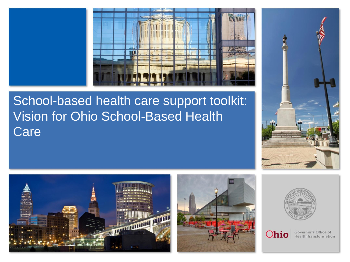

# School-based health care support toolkit: Vision for Ohio School-Based Health Care











Governor's Office of Health Transformation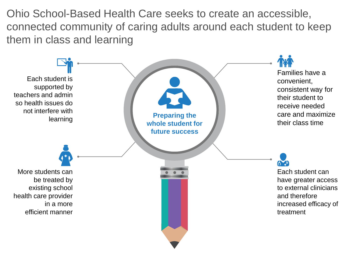Ohio School-Based Health Care seeks to create an accessible, connected community of caring adults around each student to keep them in class and learning

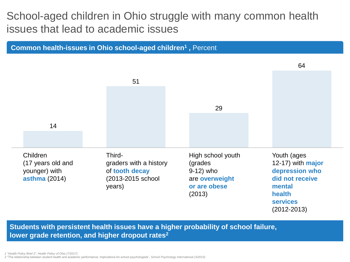### School-aged children in Ohio struggle with many common health issues that lead to academic issues



**Students with persistent health issues have a higher probability of school failure, lower grade retention, and higher dropout rates2**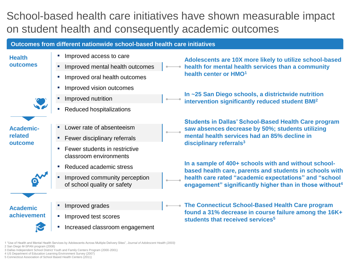## School-based health care initiatives have shown measurable impact on student health and consequently academic outcomes

#### **Outcomes from different nationwide school-based health care initiatives**

#### **Health outcomes**



**Academicrelated outcome**



**Academic achievement**



- **·** Improved access to care
- Improved mental health outcomes
- Improved oral health outcomes
- Improved vision outcomes
- Improved nutrition
- **Reduced hospitalizations**
- I ower rate of absenteeism
- Fewer disciplinary referrals
- **Fewer students in restrictive** classroom environments
- Reduced academic stress
- Improved community perception of school quality or safety

Improved grades

- **·** Improved test scores
- Increased classroom engagement

**Adolescents are 10X more likely to utilize school-based health for mental health services than a community health center or HMO<sup>1</sup>**

**In ~25 San Diego schools, a districtwide nutrition intervention significantly reduced student BMI<sup>2</sup>**

**Students in Dallas' School-Based Health Care program saw absences decrease by 50%; students utilizing mental health services had an 85% decline in disciplinary referrals3**

**In a sample of 400+ schools with and without schoolbased health care, parents and students in schools with health care rated "academic expectations" and "school engagement" significantly higher than in those without<sup>4</sup>**

**The Connecticut School-Based Health Care program found a 31% decrease in course failure among the 16K+ students that received services<sup>5</sup>**

1 "Use of Health and Mental Health Services by Adolescents Across Multiple Delivery Sites", *Journal of Adolescent Health (2003)* 2 San Diego M-SPAN program (2008)

3 Dallas Independent School District Youth and Family Centers Program (2000-2001)

4 US Department of Education Learning Environment Survey (2007)

5 Connecticut Association of School Based Health Centers (2011)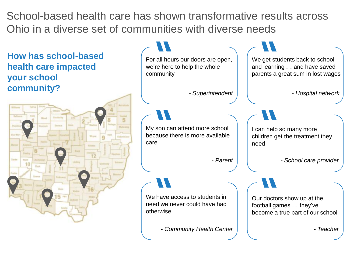School-based health care has shown transformative results across Ohio in a diverse set of communities with diverse needs

**How has school-based health care impacted your school community?**



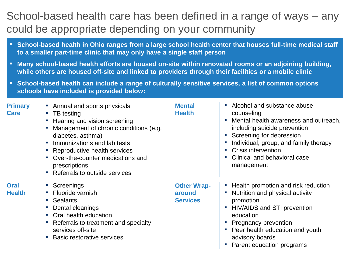### School-based health care has been defined in a range of ways – any could be appropriate depending on your community

- **School-based health in Ohio ranges from a large school health center that houses full-time medical staff to a smaller part-time clinic that may only have a single staff person**
- **Many school-based health efforts are housed on-site within renovated rooms or an adjoining building, while others are housed off-site and linked to providers through their facilities or a mobile clinic**
- **School-based health can include a range of culturally sensitive services, a list of common options schools have included is provided below:**

| <b>Primary</b><br><b>Care</b> | • Annual and sports physicals<br>TB testing<br>$\mathcal{L}_{\mathcal{A}}$<br>Hearing and vision screening<br>×.<br>Management of chronic conditions (e.g.<br>diabetes, asthma)<br>Immunizations and lab tests<br><b>CO</b><br>Reproductive health services<br>Over-the-counter medications and<br>×<br>prescriptions<br>Referrals to outside services<br>$\mathcal{L}_{\mathcal{A}}$ | <b>Mental</b><br><b>Health</b>                  | Alcohol and substance abuse<br>counseling<br>Mental health awareness and outreach,<br>including suicide prevention<br>Screening for depression<br>Individual, group, and family therapy<br>Crisis intervention<br>Clinical and behavioral case<br>management |
|-------------------------------|---------------------------------------------------------------------------------------------------------------------------------------------------------------------------------------------------------------------------------------------------------------------------------------------------------------------------------------------------------------------------------------|-------------------------------------------------|--------------------------------------------------------------------------------------------------------------------------------------------------------------------------------------------------------------------------------------------------------------|
| <b>Oral</b><br><b>Health</b>  | Screenings<br>$\mathcal{L}_{\mathcal{A}}$<br>Fluoride varnish<br><b>Sealants</b><br>a.<br>Dental cleanings<br>×,<br>Oral health education<br>Referrals to treatment and specialty<br>services off-site<br><b>Basic restorative services</b>                                                                                                                                           | <b>Other Wrap-</b><br>around<br><b>Services</b> | Health promotion and risk reduction<br>Nutrition and physical activity<br>promotion<br>HIV/AIDS and STI prevention<br>education<br><b>Pregnancy prevention</b><br>Peer health education and youth<br>advisory boards<br>Parent education programs            |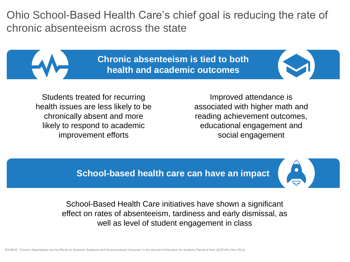Ohio School-Based Health Care's chief goal is reducing the rate of chronic absenteeism across the state

> **Chronic absenteeism is tied to both health and academic outcomes**

Students treated for recurring health issues are less likely to be chronically absent and more likely to respond to academic improvement efforts

Improved attendance is associated with higher math and reading achievement outcomes, educational engagement and social engagement

**School-based health care can have an impact**

School-Based Health Care initiatives have shown a significant effect on rates of absenteeism, tardiness and early dismissal, as well as level of student engagement in class